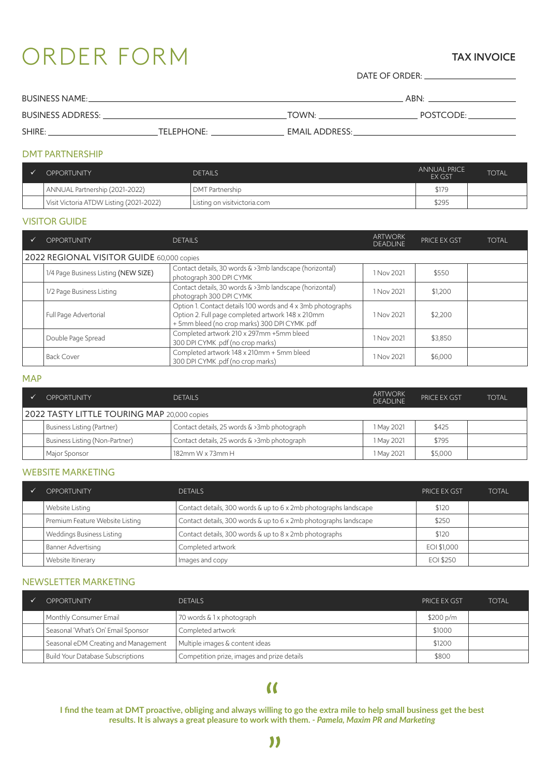# ORDER FORM

#### TAX INVOICE

DATE OF ORDER:

| <b>BUSINESS NAME:</b>    |                   | <b>ABN</b>            |           |
|--------------------------|-------------------|-----------------------|-----------|
| <b>BUSINESS ADDRESS:</b> |                   | TOWN:                 | POSTCODE: |
| SHIRE:                   | <b>TELEPHONE:</b> | <b>EMAIL ADDRESS:</b> |           |

#### DMT PARTNERSHIP

| <b>OPPORTUNITY</b>                      | <b>DETAILS</b>                 | <b>ANNUAL PRICE</b><br>EX GST | <b>TOTAL</b> |
|-----------------------------------------|--------------------------------|-------------------------------|--------------|
| ANNUAL Partnership (2021-2022)          | DMT Partnership                | \$179                         |              |
| Visit Victoria ATDW Listing (2021-2022) | ' Listing on visitvictoria.com | \$295                         |              |

#### VISITOR GUIDE

| <b>OPPORTUNITY</b>                        | <b>DETAILS</b>                                                                                                                                                    | <b>ARTWORK</b><br><b>DEADLINE</b> | <b>PRICE EX GST</b> | <b>TOTAL</b> |
|-------------------------------------------|-------------------------------------------------------------------------------------------------------------------------------------------------------------------|-----------------------------------|---------------------|--------------|
| 2022 REGIONAL VISITOR GUIDE 60,000 copies |                                                                                                                                                                   |                                   |                     |              |
| 1/4 Page Business Listing (NEW SIZE)      | Contact details, 30 words & >3mb landscape (horizontal)<br>photograph 300 DPI CYMK                                                                                | 1 Nov 2021                        | \$550               |              |
| 1/2 Page Business Listing                 | Contact details, 30 words & >3mb landscape (horizontal)<br>photograph 300 DPI CYMK                                                                                | 1 Nov 2021                        | \$1,200             |              |
| Full Page Advertorial                     | Option 1. Contact details 100 words and 4 x 3mb photographs<br>Option 2. Full page completed artwork 148 x 210mm<br>+ 5mm bleed (no crop marks) 300 DPI CYMK .pdf | 1 Nov 2021                        | \$2,200             |              |
| Double Page Spread                        | Completed artwork 210 x 297mm +5mm bleed<br>300 DPI CYMK .pdf (no crop marks)                                                                                     | 1 Nov 2021                        | \$3,850             |              |
| <b>Back Cover</b>                         | Completed artwork 148 x 210mm + 5mm bleed<br>300 DPI CYMK .pdf (no crop marks)                                                                                    | 1 Nov 2021                        | \$6,000             |              |

#### MAP

| <b>OPPORTUNITY</b>                          | <b>DETAILS</b>                              | <b>ARTWORK</b><br><b>DEADLINE</b> | PRICE EX GST | <b>TOTAL</b> |
|---------------------------------------------|---------------------------------------------|-----------------------------------|--------------|--------------|
| 2022 TASTY LITTLE TOURING MAP 20,000 copies |                                             |                                   |              |              |
| Business Listing (Partner)                  | Contact details, 25 words & >3mb photograph | 1 May 2021                        | \$425        |              |
| Business Listing (Non-Partner)              | Contact details, 25 words & >3mb photograph | 1 May 2021                        | \$795        |              |
| Major Sponsor                               | $182$ mm W x 73mm H                         | 1 May 2021                        | \$5,000      |              |

#### WEBSITE MARKETING

| <b>OPPORTUNITY</b>              | <b>DETAILS</b>                                                   | <b>PRICE EX GST</b> | <b>TOTAL</b> |
|---------------------------------|------------------------------------------------------------------|---------------------|--------------|
| Website Listing                 | Contact details, 300 words & up to 6 x 2mb photographs landscape | \$120               |              |
| Premium Feature Website Listing | Contact details, 300 words & up to 6 x 2mb photographs landscape | \$250               |              |
| Weddings Business Listing       | Contact details, 300 words & up to 8 x 2mb photographs           | \$120               |              |
| Banner Advertising              | Completed artwork                                                | EOI \$1,000         |              |
| Website Itinerary               | Images and copy                                                  | EOI \$250           |              |

#### NEWSLETTER MARKETING

| <b>OPPORTUNITY</b>                                | <b>DETAILS</b>                              | <b>PRICE EX GST</b> | <b>TOTAL</b> |
|---------------------------------------------------|---------------------------------------------|---------------------|--------------|
| Monthly Consumer Email                            | 70 words & 1 x photograph                   | \$200 p/m           |              |
| Seasonal 'What's On' Email Sponsor                | Completed artwork                           | \$1000              |              |
| <sup>1</sup> Seasonal eDM Creating and Management | Multiple images & content ideas             | \$1200              |              |
| Build Your Database Subscriptions                 | Competition prize, images and prize details | \$800               |              |

## $\alpha$

**I find the team at DMT proactive, obliging and always willing to go the extra mile to help small business get the best results. It is always a great pleasure to work with them.** *- Pamela, Maxim PR and Marketing*